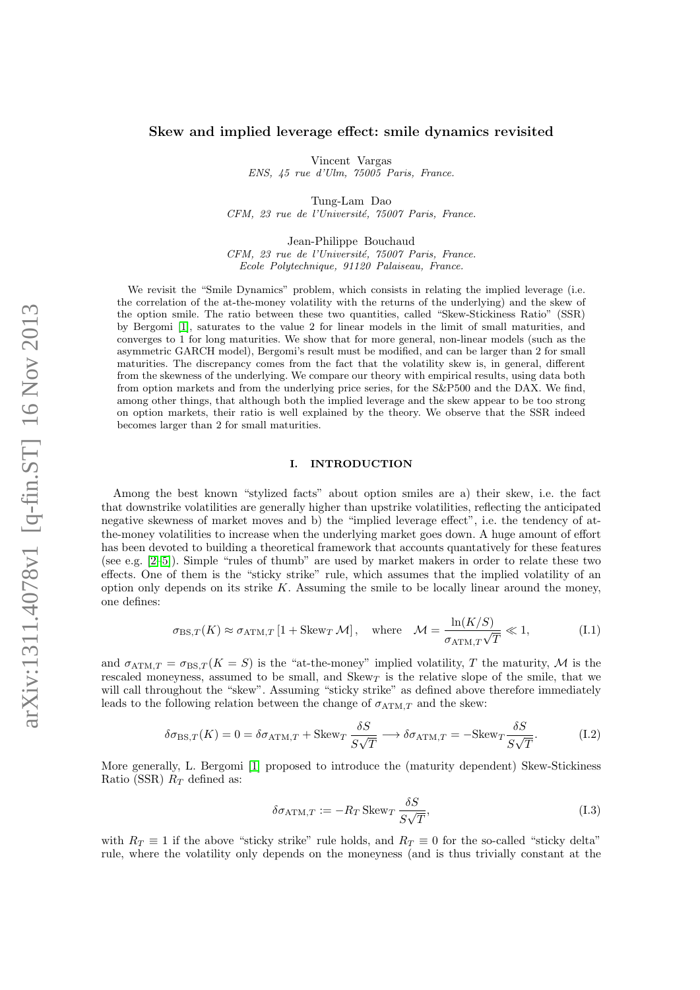# Skew and implied leverage effect: smile dynamics revisited

Vincent Vargas

ENS, 45 rue d'Ulm, 75005 Paris, France.

Tung-Lam Dao CFM, 23 rue de l'Université, 75007 Paris, France.

Jean-Philippe Bouchaud CFM, 23 rue de l'Université, 75007 Paris, France. Ecole Polytechnique, 91120 Palaiseau, France.

We revisit the "Smile Dynamics" problem, which consists in relating the implied leverage (i.e. the correlation of the at-the-money volatility with the returns of the underlying) and the skew of the option smile. The ratio between these two quantities, called "Skew-Stickiness Ratio" (SSR) by Bergomi [\[1\]](#page-11-0), saturates to the value 2 for linear models in the limit of small maturities, and converges to 1 for long maturities. We show that for more general, non-linear models (such as the asymmetric GARCH model), Bergomi's result must be modified, and can be larger than 2 for small maturities. The discrepancy comes from the fact that the volatility skew is, in general, different from the skewness of the underlying. We compare our theory with empirical results, using data both from option markets and from the underlying price series, for the S&P500 and the DAX. We find, among other things, that although both the implied leverage and the skew appear to be too strong on option markets, their ratio is well explained by the theory. We observe that the SSR indeed becomes larger than 2 for small maturities.

## I. INTRODUCTION

Among the best known "stylized facts" about option smiles are a) their skew, i.e. the fact that downstrike volatilities are generally higher than upstrike volatilities, reflecting the anticipated negative skewness of market moves and b) the "implied leverage effect", i.e. the tendency of atthe-money volatilities to increase when the underlying market goes down. A huge amount of effort has been devoted to building a theoretical framework that accounts quantatively for these features (see e.g. [\[2](#page-11-1)[–5\]](#page-11-2)). Simple "rules of thumb" are used by market makers in order to relate these two effects. One of them is the "sticky strike" rule, which assumes that the implied volatility of an option only depends on its strike  $K$ . Assuming the smile to be locally linear around the money, one defines:

<span id="page-0-1"></span>
$$
\sigma_{\text{BS},T}(K) \approx \sigma_{\text{ATM},T} \left[ 1 + \text{Skew}_{T} \mathcal{M} \right], \quad \text{where} \quad \mathcal{M} = \frac{\ln(K/S)}{\sigma_{\text{ATM},T} \sqrt{T}} \ll 1, \tag{I.1}
$$

and  $\sigma_{ATM,T} = \sigma_{BS,T}(K = S)$  is the "at-the-money" implied volatility, T the maturity, M is the rescaled moneyness, assumed to be small, and  $Skew<sub>T</sub>$  is the relative slope of the smile, that we will call throughout the "skew". Assuming "sticky strike" as defined above therefore immediately leads to the following relation between the change of  $\sigma_{ATM,T}$  and the skew:

$$
\delta \sigma_{\text{BS},T}(K) = 0 = \delta \sigma_{\text{ATM},T} + \text{Skew}_T \frac{\delta S}{S\sqrt{T}} \longrightarrow \delta \sigma_{\text{ATM},T} = -\text{Skew}_T \frac{\delta S}{S\sqrt{T}}.
$$
 (I.2)

More generally, L. Bergomi [\[1\]](#page-11-0) proposed to introduce the (maturity dependent) Skew-Stickiness Ratio (SSR)  $R_T$  defined as:

<span id="page-0-0"></span>
$$
\delta \sigma_{\text{ATM},T} := -R_T \,\text{Skew}_T \, \frac{\delta S}{S\sqrt{T}},\tag{I.3}
$$

with  $R_T \equiv 1$  if the above "sticky strike" rule holds, and  $R_T \equiv 0$  for the so-called "sticky delta" rule, where the volatility only depends on the moneyness (and is thus trivially constant at the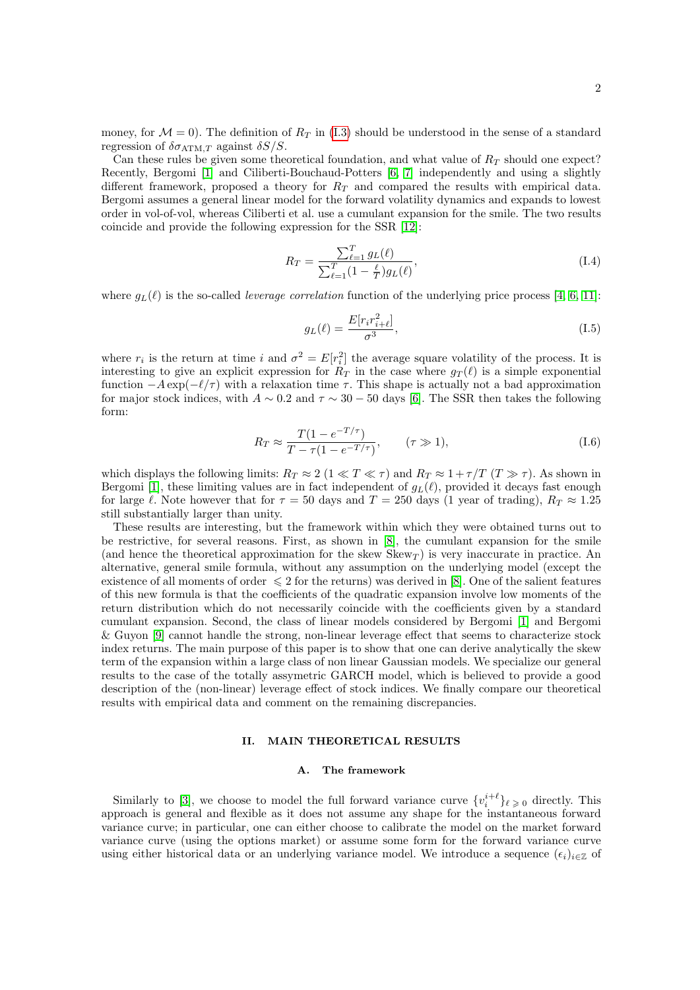money, for  $\mathcal{M} = 0$ . The definition of  $R_T$  in [\(I.3\)](#page-0-0) should be understood in the sense of a standard regression of  $\delta \sigma_{\text{ATM},T}$  against  $\delta S/S$ .

Can these rules be given some theoretical foundation, and what value of  $R<sub>T</sub>$  should one expect? Recently, Bergomi [\[1\]](#page-11-0) and Ciliberti-Bouchaud-Potters [\[6,](#page-11-3) [7\]](#page-11-4) independently and using a slightly different framework, proposed a theory for  $R_T$  and compared the results with empirical data. Bergomi assumes a general linear model for the forward volatility dynamics and expands to lowest order in vol-of-vol, whereas Ciliberti et al. use a cumulant expansion for the smile. The two results coincide and provide the following expression for the SSR [\[12\]](#page-11-5):

<span id="page-1-0"></span>
$$
R_T = \frac{\sum_{\ell=1}^T g_L(\ell)}{\sum_{\ell=1}^T (1 - \frac{\ell}{T}) g_L(\ell)},\tag{I.4}
$$

where  $g_L(\ell)$  is the so-called *leverage correlation* function of the underlying price process [\[4,](#page-11-6) [6,](#page-11-3) [11\]](#page-11-7):

$$
g_L(\ell) = \frac{E[r_i r_{i+\ell}^2]}{\sigma^3},
$$
\n(1.5)

where  $r_i$  is the return at time i and  $\sigma^2 = E[r_i^2]$  the average square volatility of the process. It is interesting to give an explicit expression for  $R_T$  in the case where  $g_T(\ell)$  is a simple exponential function  $-A \exp(-\ell/\tau)$  with a relaxation time  $\tau$ . This shape is actually not a bad approximation for major stock indices, with  $A \sim 0.2$  and  $\tau \sim 30 - 50$  days [\[6\]](#page-11-3). The SSR then takes the following form:

$$
R_T \approx \frac{T(1 - e^{-T/\tau})}{T - \tau(1 - e^{-T/\tau})}, \qquad (\tau \gg 1), \tag{I.6}
$$

which displays the following limits:  $R_T \approx 2$  ( $1 \ll T \ll \tau$ ) and  $R_T \approx 1 + \tau/T$  ( $T \gg \tau$ ). As shown in Bergomi [\[1\]](#page-11-0), these limiting values are in fact independent of  $g_L(\ell)$ , provided it decays fast enough for large  $\ell$ . Note however that for  $\tau = 50$  days and  $T = 250$  days (1 year of trading),  $R_T \approx 1.25$ still substantially larger than unity.

These results are interesting, but the framework within which they were obtained turns out to be restrictive, for several reasons. First, as shown in [\[8\]](#page-11-8), the cumulant expansion for the smile (and hence the theoretical approximation for the skew  $Skew_T$ ) is very inaccurate in practice. An alternative, general smile formula, without any assumption on the underlying model (except the existence of all moments of order  $\leq 2$  for the returns) was derived in [\[8\]](#page-11-8). One of the salient features of this new formula is that the coefficients of the quadratic expansion involve low moments of the return distribution which do not necessarily coincide with the coefficients given by a standard cumulant expansion. Second, the class of linear models considered by Bergomi [\[1\]](#page-11-0) and Bergomi & Guyon [\[9\]](#page-11-9) cannot handle the strong, non-linear leverage effect that seems to characterize stock index returns. The main purpose of this paper is to show that one can derive analytically the skew term of the expansion within a large class of non linear Gaussian models. We specialize our general results to the case of the totally assymetric GARCH model, which is believed to provide a good description of the (non-linear) leverage effect of stock indices. We finally compare our theoretical results with empirical data and comment on the remaining discrepancies.

## II. MAIN THEORETICAL RESULTS

## A. The framework

Similarly to [\[3\]](#page-11-10), we choose to model the full forward variance curve  $\{v_i^{i+\ell}\}_{\ell \geq 0}$  directly. This approach is general and flexible as it does not assume any shape for the instantaneous forward variance curve; in particular, one can either choose to calibrate the model on the market forward variance curve (using the options market) or assume some form for the forward variance curve using either historical data or an underlying variance model. We introduce a sequence  $(\epsilon_i)_{i\in\mathbb{Z}}$  of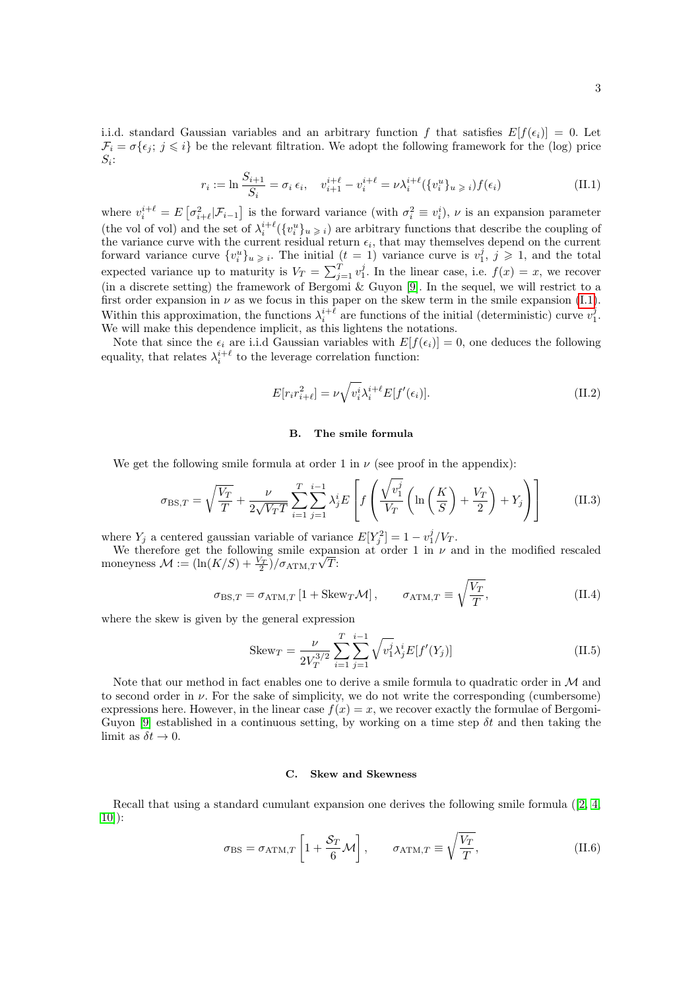i.i.d. standard Gaussian variables and an arbitrary function f that satisfies  $E[f(\epsilon_i)] = 0$ . Let  $\mathcal{F}_i = \sigma\{\epsilon_j; j \leq i\}$  be the relevant filtration. We adopt the following framework for the (log) price  $S_i$ :

<span id="page-2-1"></span>
$$
r_i := \ln \frac{S_{i+1}}{S_i} = \sigma_i \, \epsilon_i, \quad v_{i+1}^{i+\ell} - v_i^{i+\ell} = \nu \lambda_i^{i+\ell} (\{v_i^u\}_{u \geq i}) f(\epsilon_i)
$$
 (II.1)

where  $v_i^{i+\ell} = E\left[\sigma_{i+\ell}^2|\mathcal{F}_{i-1}\right]$  is the forward variance (with  $\sigma_i^2 \equiv v_i^i$ ),  $\nu$  is an expansion parameter (the vol of vol) and the set of  $\lambda_i^{i+\ell}(\{v_i^u\}_u) \geq i$ ) are arbitrary functions that describe the coupling of the variance curve with the current residual return  $\epsilon_i$ , that may themselves depend on the current forward variance curve  $\{v_i^u\}_{u\geqslant i}$ . The initial  $(t = 1)$  variance curve is  $v_1^j$ ,  $j \geqslant 1$ , and the total expected variance up to maturity is  $V_T = \sum_{j=1}^T v_1^j$ . In the linear case, i.e.  $f(x) = x$ , we recover (in a discrete setting) the framework of Bergomi & Guyon [\[9\]](#page-11-9). In the sequel, we will restrict to a first order expansion in  $\nu$  as we focus in this paper on the skew term in the smile expansion [\(I.1\)](#page-0-1). Within this approximation, the functions  $\lambda_i^{i+\ell}$  are functions of the initial (deterministic) curve  $v_1^j$ . We will make this dependence implicit, as this lightens the notations.

Note that since the  $\epsilon_i$  are i.i.d Gaussian variables with  $E[f(\epsilon_i)] = 0$ , one deduces the following equality, that relates  $\lambda_i^{i+\ell}$  to the leverage correlation function:

<span id="page-2-0"></span>
$$
E[r_i r_{i+\ell}^2] = \nu \sqrt{v_i^i} \lambda_i^{i+\ell} E[f'(\epsilon_i)].
$$
\n(II.2)

### B. The smile formula

We get the following smile formula at order 1 in  $\nu$  (see proof in the appendix):

$$
\sigma_{\text{BS},T} = \sqrt{\frac{V_T}{T}} + \frac{\nu}{2\sqrt{V_T T}} \sum_{i=1}^T \sum_{j=1}^{i-1} \lambda_j^i E\left[ f\left(\frac{\sqrt{v_1^j}}{V_T} \left(\ln\left(\frac{K}{S}\right) + \frac{V_T}{2}\right) + Y_j\right) \right]
$$
(II.3)

where  $Y_j$  a centered gaussian variable of variance  $E[Y_j^2] = 1 - v_1^j/V_T$ .

We therefore get the following smile expansion at order 1 in  $\nu$  and in the modified rescaled moneyness  $\mathcal{M} := \left(\ln(K/S) + \frac{V_T}{2}\right) / \sigma_{ATM,T}$ √ T:

$$
\sigma_{\text{BS},T} = \sigma_{\text{ATM},T} \left[ 1 + \text{Skew}_T \mathcal{M} \right], \qquad \sigma_{\text{ATM},T} \equiv \sqrt{\frac{V_T}{T}}, \qquad (II.4)
$$

where the skew is given by the general expression

$$
Skew_T = \frac{\nu}{2V_T^{3/2}} \sum_{i=1}^T \sum_{j=1}^{i-1} \sqrt{v_1^j} \lambda_j^i E[f'(Y_j)]
$$
 (II.5)

Note that our method in fact enables one to derive a smile formula to quadratic order in  $\mathcal M$  and to second order in  $\nu$ . For the sake of simplicity, we do not write the corresponding (cumbersome) expressions here. However, in the linear case  $f(x) = x$ , we recover exactly the formulae of Bergomi-Guyon [\[9\]](#page-11-9) established in a continuous setting, by working on a time step  $\delta t$  and then taking the limit as  $\delta t \to 0$ .

#### C. Skew and Skewness

Recall that using a standard cumulant expansion one derives the following smile formula ([\[2,](#page-11-1) [4,](#page-11-6) [10\]](#page-11-11)):

$$
\sigma_{\rm BS} = \sigma_{\rm ATM,T} \left[ 1 + \frac{\mathcal{S}_T}{6} \mathcal{M} \right], \qquad \sigma_{\rm ATM,T} \equiv \sqrt{\frac{V_T}{T}}, \qquad (II.6)
$$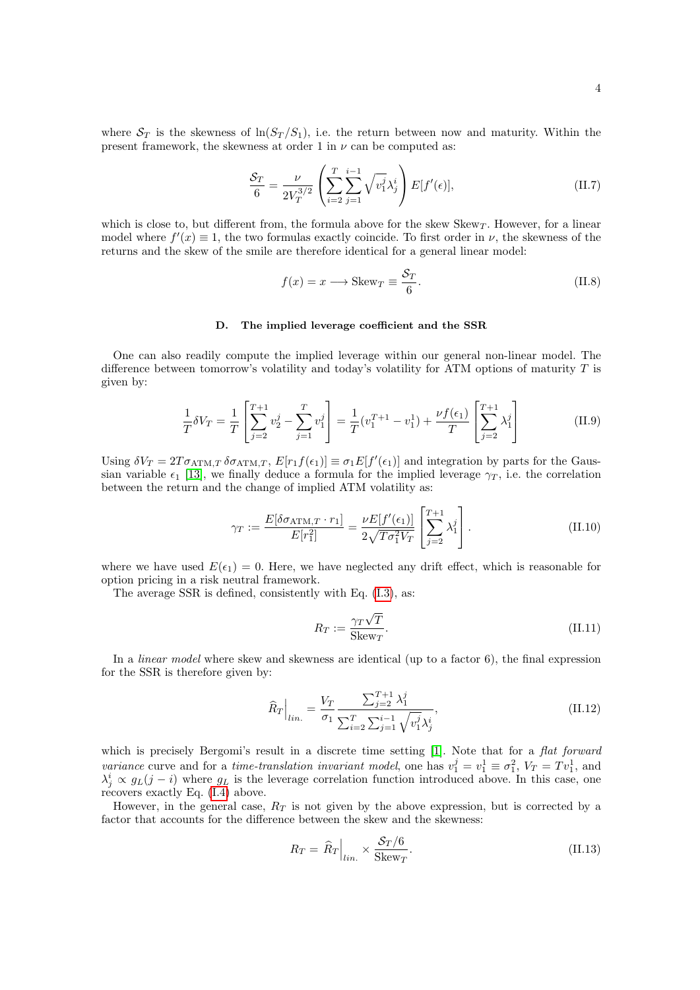where  $S_T$  is the skewness of  $\ln(S_T/S_1)$ , i.e. the return between now and maturity. Within the present framework, the skewness at order 1 in  $\nu$  can be computed as:

$$
\frac{S_T}{6} = \frac{\nu}{2V_T^{3/2}} \left( \sum_{i=2}^T \sum_{j=1}^{i-1} \sqrt{v_1^j} \lambda_j^i \right) E[f'(\epsilon)], \tag{II.7}
$$

which is close to, but different from, the formula above for the skew  $Skew_T$ . However, for a linear model where  $f'(x) \equiv 1$ , the two formulas exactly coincide. To first order in  $\nu$ , the skewness of the returns and the skew of the smile are therefore identical for a general linear model:

$$
f(x) = x \longrightarrow \text{Skew}_T \equiv \frac{\mathcal{S}_T}{6}.
$$
 (II.8)

#### D. The implied leverage coefficient and the SSR

One can also readily compute the implied leverage within our general non-linear model. The difference between tomorrow's volatility and today's volatility for ATM options of maturity  $T$  is given by:

$$
\frac{1}{T}\delta V_T = \frac{1}{T} \left[ \sum_{j=2}^{T+1} v_2^j - \sum_{j=1}^T v_1^j \right] = \frac{1}{T} (v_1^{T+1} - v_1^1) + \frac{\nu f(\epsilon_1)}{T} \left[ \sum_{j=2}^{T+1} \lambda_1^j \right]
$$
(II.9)

Using  $\delta V_T = 2T \sigma_{ATM,T} \delta \sigma_{ATM,T}$ ,  $E[r_1 f(\epsilon_1)] \equiv \sigma_1 E[f'(\epsilon_1)]$  and integration by parts for the Gaussian variable  $\epsilon_1$  [\[13\]](#page-11-12), we finally deduce a formula for the implied leverage  $\gamma_T$ , i.e. the correlation between the return and the change of implied ATM volatility as:

$$
\gamma_T := \frac{E[\delta \sigma_{\text{ATM},T} \cdot r_1]}{E[r_1^2]} = \frac{\nu E[f'(\epsilon_1)]}{2\sqrt{T\sigma_1^2 V_T}} \left[ \sum_{j=2}^{T+1} \lambda_1^j \right]. \tag{II.10}
$$

where we have used  $E(\epsilon_1) = 0$ . Here, we have neglected any drift effect, which is reasonable for option pricing in a risk neutral framework.

The average SSR is defined, consistently with Eq. [\(I.3\)](#page-0-0), as:

$$
R_T := \frac{\gamma_T \sqrt{T}}{\text{Skew}_T}.
$$
\n(II.11)

In a *linear model* where skew and skewness are identical (up to a factor 6), the final expression for the SSR is therefore given by:

<span id="page-3-0"></span>
$$
\widehat{R}_T\Big|_{lin.} = \frac{V_T}{\sigma_1} \frac{\sum_{j=2}^{T+1} \lambda_1^j}{\sum_{i=2}^T \sum_{j=1}^{i-1} \sqrt{v_1^j} \lambda_j^i},\tag{II.12}
$$

which is precisely Bergomi's result in a discrete time setting [\[1\]](#page-11-0). Note that for a flat forward variance curve and for a *time-translation invariant model*, one has  $v_1^j = v_1^1 \equiv \sigma_1^2$ ,  $V_T = Tv_1^1$ , and  $\lambda_j^i \propto g_L(j-i)$  where  $g_L$  is the leverage correlation function introduced above. In this case, one recovers exactly Eq. [\(I.4\)](#page-1-0) above.

However, in the general case,  $R_T$  is not given by the above expression, but is corrected by a factor that accounts for the difference between the skew and the skewness:

<span id="page-3-1"></span>
$$
R_T = \hat{R}_T \Big|_{lin.} \times \frac{\mathcal{S}_T / 6}{\text{Skew}_T}.\tag{II.13}
$$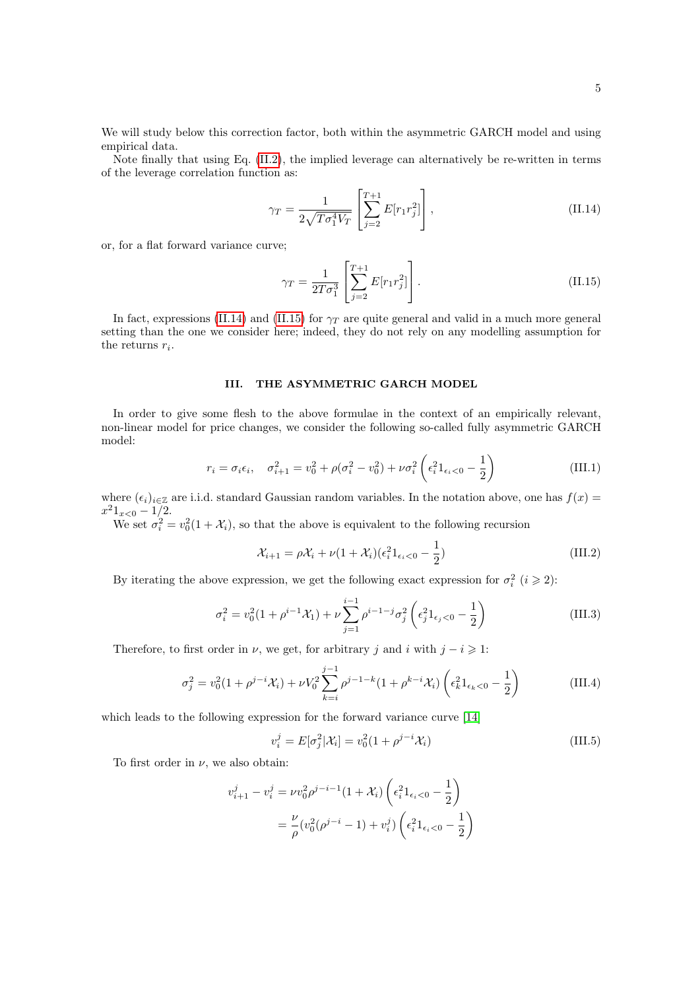We will study below this correction factor, both within the asymmetric GARCH model and using empirical data.

Note finally that using Eq. [\(II.2\)](#page-2-0), the implied leverage can alternatively be re-written in terms of the leverage correlation function as:

<span id="page-4-0"></span>
$$
\gamma_T = \frac{1}{2\sqrt{T\sigma_1^4 V_T}} \left[ \sum_{j=2}^{T+1} E[r_1 r_j^2] \right],
$$
\n(II.14)

or, for a flat forward variance curve;

<span id="page-4-1"></span>
$$
\gamma_T = \frac{1}{2T\sigma_1^3} \left[ \sum_{j=2}^{T+1} E[r_1 r_j^2] \right].
$$
 (II.15)

In fact, expressions [\(II.14\)](#page-4-0) and [\(II.15\)](#page-4-1) for  $\gamma_T$  are quite general and valid in a much more general setting than the one we consider here; indeed, they do not rely on any modelling assumption for the returns  $r_i$ .

# III. THE ASYMMETRIC GARCH MODEL

In order to give some flesh to the above formulae in the context of an empirically relevant, non-linear model for price changes, we consider the following so-called fully asymmetric GARCH model:

$$
r_i = \sigma_i \epsilon_i, \quad \sigma_{i+1}^2 = v_0^2 + \rho(\sigma_i^2 - v_0^2) + \nu \sigma_i^2 \left(\epsilon_i^2 \mathbb{1}_{\epsilon_i < 0} - \frac{1}{2}\right) \tag{III.1}
$$

where  $(\epsilon_i)_{i\in\mathbb{Z}}$  are i.i.d. standard Gaussian random variables. In the notation above, one has  $f(x)$  =  $x^21_{x<0} - 1/2.$ 

We set  $\sigma_i^2 = v_0^2(1 + \mathcal{X}_i)$ , so that the above is equivalent to the following recursion

$$
\mathcal{X}_{i+1} = \rho \mathcal{X}_i + \nu (1 + \mathcal{X}_i)(\epsilon_i^2 \mathbf{1}_{\epsilon_i < 0} - \frac{1}{2}) \tag{III.2}
$$

By iterating the above expression, we get the following exact expression for  $\sigma_i^2$   $(i \geq 2)$ :

$$
\sigma_i^2 = v_0^2 (1 + \rho^{i-1} \mathcal{X}_1) + \nu \sum_{j=1}^{i-1} \rho^{i-1-j} \sigma_j^2 \left( \epsilon_j^2 \mathbb{1}_{\epsilon_j < 0} - \frac{1}{2} \right) \tag{III.3}
$$

Therefore, to first order in  $\nu$ , we get, for arbitrary j and i with  $j - i \geq 1$ :

$$
\sigma_j^2 = v_0^2 (1 + \rho^{j-i} \mathcal{X}_i) + \nu V_0^2 \sum_{k=i}^{j-1} \rho^{j-1-k} (1 + \rho^{k-i} \mathcal{X}_i) \left( \epsilon_k^2 \mathbb{1}_{\epsilon_k < 0} - \frac{1}{2} \right) \tag{III.4}
$$

which leads to the following expression for the forward variance curve  $[14]$ 

$$
v_i^j = E[\sigma_j^2 | \mathcal{X}_i] = v_0^2 (1 + \rho^{j-i} \mathcal{X}_i)
$$
 (III.5)

To first order in  $\nu$ , we also obtain:

$$
v_{i+1}^j - v_i^j = \nu v_0^2 \rho^{j-i-1} (1 + \mathcal{X}_i) \left( \epsilon_i^2 \mathbb{1}_{\epsilon_i < 0} - \frac{1}{2} \right)
$$
\n
$$
= \frac{\nu}{\rho} (v_0^2 (\rho^{j-i} - 1) + v_i^j) \left( \epsilon_i^2 \mathbb{1}_{\epsilon_i < 0} - \frac{1}{2} \right)
$$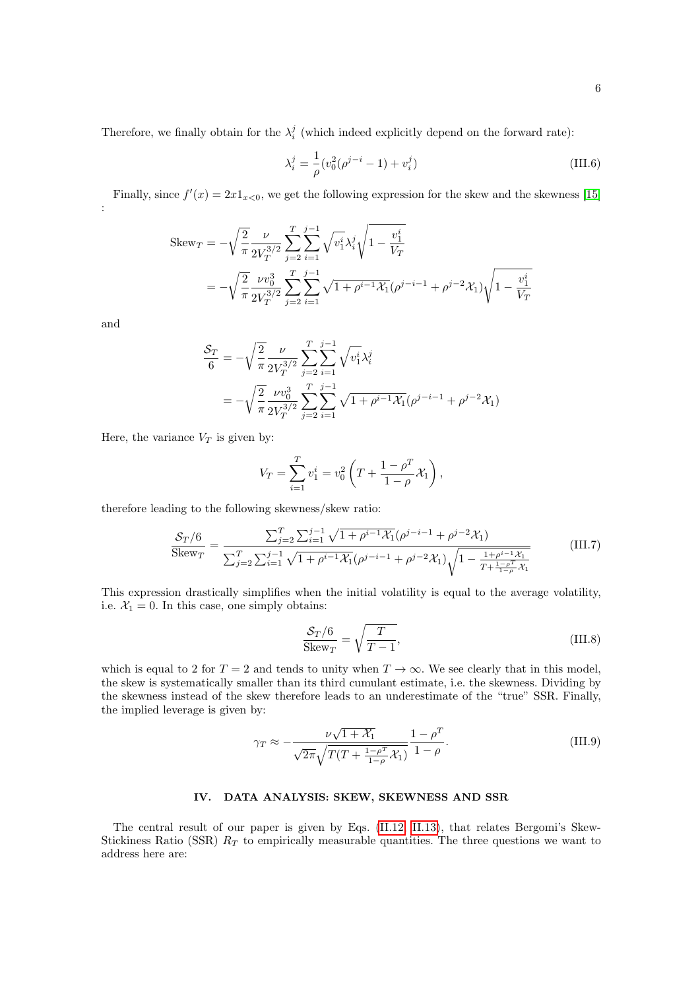$$
\lambda_i^j = \frac{1}{\rho} (v_0^2 (\rho^{j-i} - 1) + v_i^j)
$$
 (III.6)

Finally, since  $f'(x) = 2x1_{x<0}$ , we get the following expression for the skew and the skewness [\[15\]](#page-11-14) :

$$
\begin{split} \text{Skew}_{T} &= -\sqrt{\frac{2}{\pi}} \frac{\nu}{2V_{T}^{3/2}} \sum_{j=2}^{T} \sum_{i=1}^{j-1} \sqrt{v_{1}^{i}} \lambda_{i}^{j} \sqrt{1 - \frac{v_{1}^{i}}{V_{T}}} \\ &= -\sqrt{\frac{2}{\pi}} \frac{\nu v_{0}^{3}}{2V_{T}^{3/2}} \sum_{j=2}^{T} \sum_{i=1}^{j-1} \sqrt{1 + \rho^{i-1} \mathcal{X}_{1}} (\rho^{j-i-1} + \rho^{j-2} \mathcal{X}_{1}) \sqrt{1 - \frac{v_{1}^{i}}{V_{T}}} \end{split}
$$

and

$$
\frac{\mathcal{S}_T}{6} = -\sqrt{\frac{2}{\pi}} \frac{\nu}{2V_T^{3/2}} \sum_{j=2}^T \sum_{i=1}^{j-1} \sqrt{v_1^i} \lambda_i^j
$$
  
= 
$$
-\sqrt{\frac{2}{\pi}} \frac{\nu v_0^3}{2V_T^{3/2}} \sum_{j=2}^T \sum_{i=1}^{j-1} \sqrt{1 + \rho^{i-1} \mathcal{X}_1} (\rho^{j-i-1} + \rho^{j-2} \mathcal{X}_1)
$$

Here, the variance  $V_T$  is given by:

$$
V_T = \sum_{i=1}^T v_1^i = v_0^2 \left( T + \frac{1 - \rho^T}{1 - \rho} \chi_1 \right),
$$

therefore leading to the following skewness/skew ratio:

$$
\frac{\mathcal{S}_T/6}{\text{Skew}_T} = \frac{\sum_{j=2}^T \sum_{i=1}^{j-1} \sqrt{1 + \rho^{i-1} \mathcal{X}_1} (\rho^{j-i-1} + \rho^{j-2} \mathcal{X}_1)}{\sum_{j=2}^T \sum_{i=1}^{j-1} \sqrt{1 + \rho^{i-1} \mathcal{X}_1} (\rho^{j-i-1} + \rho^{j-2} \mathcal{X}_1) \sqrt{1 - \frac{1 + \rho^{i-1} \mathcal{X}_1}{T + \frac{1 - \rho^{T}}{1 - \rho} \mathcal{X}_1}}}
$$
(III.7)

This expression drastically simplifies when the initial volatility is equal to the average volatility, i.e.  $\mathcal{X}_1 = 0$ . In this case, one simply obtains:

$$
\frac{S_T/6}{\text{Skew}_T} = \sqrt{\frac{T}{T - 1}},\tag{III.8}
$$

which is equal to 2 for  $T = 2$  and tends to unity when  $T \to \infty$ . We see clearly that in this model, the skew is systematically smaller than its third cumulant estimate, i.e. the skewness. Dividing by the skewness instead of the skew therefore leads to an underestimate of the "true" SSR. Finally, the implied leverage is given by:

$$
\gamma_T \approx -\frac{\nu\sqrt{1+\mathcal{X}_1}}{\sqrt{2\pi}\sqrt{T(T+\frac{1-\rho^T}{1-\rho}\mathcal{X}_1)}}\frac{1-\rho^T}{1-\rho}.\tag{III.9}
$$

## IV. DATA ANALYSIS: SKEW, SKEWNESS AND SSR

The central result of our paper is given by Eqs. [\(II.12,](#page-3-0) [II.13\)](#page-3-1), that relates Bergomi's Skew-Stickiness Ratio (SSR)  $R_T$  to empirically measurable quantities. The three questions we want to address here are: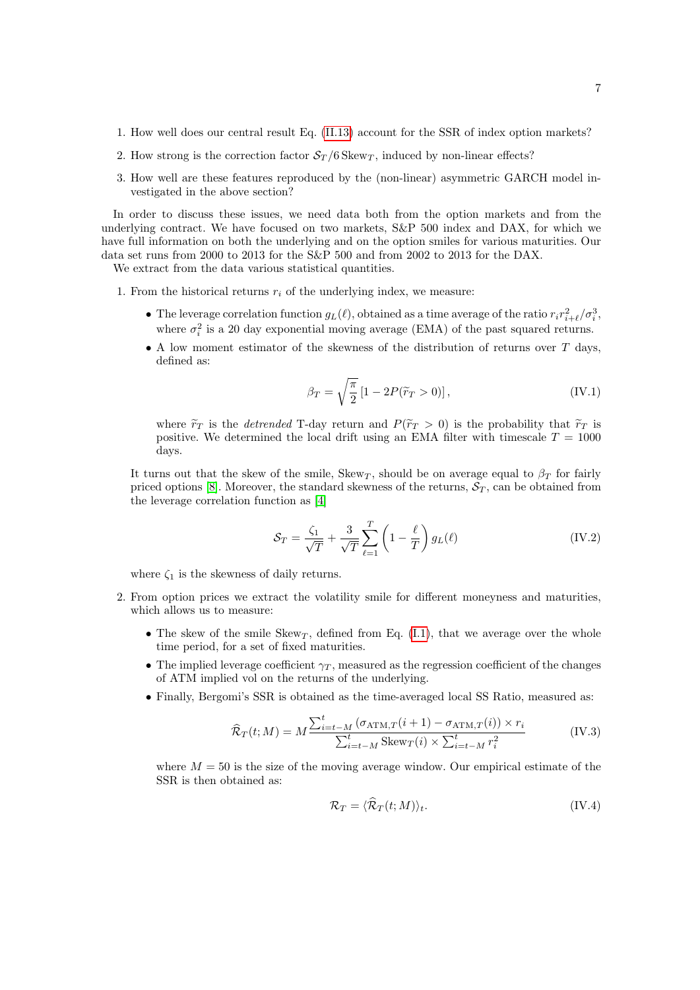- 1. How well does our central result Eq. [\(II.13\)](#page-3-1) account for the SSR of index option markets?
- 2. How strong is the correction factor  $S_T/6$  Skew<sub>T</sub>, induced by non-linear effects?
- 3. How well are these features reproduced by the (non-linear) asymmetric GARCH model investigated in the above section?

In order to discuss these issues, we need data both from the option markets and from the underlying contract. We have focused on two markets, S&P 500 index and DAX, for which we have full information on both the underlying and on the option smiles for various maturities. Our data set runs from 2000 to 2013 for the S&P 500 and from 2002 to 2013 for the DAX.

We extract from the data various statistical quantities.

- 1. From the historical returns  $r_i$  of the underlying index, we measure:
	- The leverage correlation function  $g_L(\ell)$ , obtained as a time average of the ratio  $r_i r_{i+\ell}^2 / \sigma_i^3$ , where  $\sigma_i^2$  is a 20 day exponential moving average (EMA) of the past squared returns.
	- A low moment estimator of the skewness of the distribution of returns over T days, defined as:

<span id="page-6-0"></span>
$$
\beta_T = \sqrt{\frac{\pi}{2}} \left[ 1 - 2P(\tilde{r}_T > 0) \right],\tag{IV.1}
$$

where  $\tilde{r}_T$  is the *detrended* T-day return and  $P(\tilde{r}_T > 0)$  is the probability that  $\tilde{r}_T$  is positive. We determined the local drift using an EMA filter with timescale  $T = 1000$ days.

It turns out that the skew of the smile, Skew<sub>T</sub>, should be on average equal to  $\beta_T$  for fairly priced options [\[8\]](#page-11-8). Moreover, the standard skewness of the returns,  $S_T$ , can be obtained from the leverage correlation function as [\[4\]](#page-11-6)

<span id="page-6-1"></span>
$$
S_T = \frac{\zeta_1}{\sqrt{T}} + \frac{3}{\sqrt{T}} \sum_{\ell=1}^T \left(1 - \frac{\ell}{T}\right) g_L(\ell)
$$
 (IV.2)

where  $\zeta_1$  is the skewness of daily returns.

- 2. From option prices we extract the volatility smile for different moneyness and maturities, which allows us to measure:
	- The skew of the smile Skew<sub>T</sub>, defined from Eq. [\(I.1\)](#page-0-1), that we average over the whole time period, for a set of fixed maturities.
	- The implied leverage coefficient  $\gamma_T$ , measured as the regression coefficient of the changes of ATM implied vol on the returns of the underlying.
	- Finally, Bergomi's SSR is obtained as the time-averaged local SS Ratio, measured as:

$$
\widehat{\mathcal{R}}_T(t;M) = M \frac{\sum_{i=t-M}^t (\sigma_{\text{ATM},T}(i+1) - \sigma_{\text{ATM},T}(i)) \times r_i}{\sum_{i=t-M}^t \text{Skew}_T(i) \times \sum_{i=t-M}^t r_i^2}
$$
(IV.3)

where  $M = 50$  is the size of the moving average window. Our empirical estimate of the SSR is then obtained as:

$$
\mathcal{R}_T = \langle \hat{\mathcal{R}}_T(t;M) \rangle_t. \tag{IV.4}
$$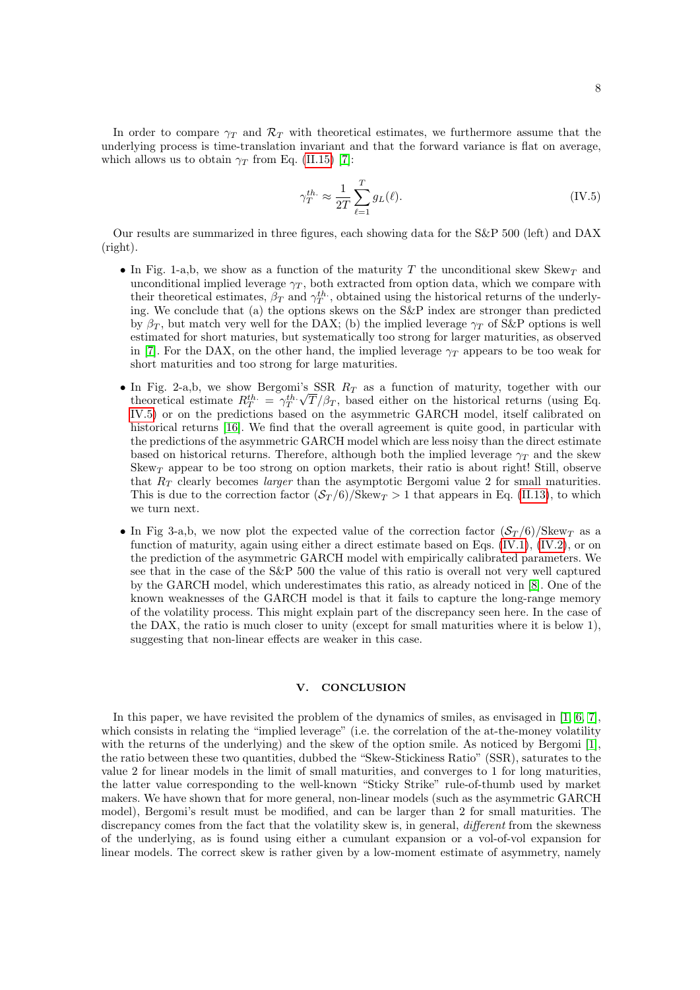In order to compare  $\gamma_T$  and  $\mathcal{R}_T$  with theoretical estimates, we furthermore assume that the underlying process is time-translation invariant and that the forward variance is flat on average, which allows us to obtain  $\gamma_T$  from Eq. [\(II.15\)](#page-4-1) [\[7\]](#page-11-4):

<span id="page-7-0"></span>
$$
\gamma_T^{th.} \approx \frac{1}{2T} \sum_{\ell=1}^T g_L(\ell). \tag{IV.5}
$$

Our results are summarized in three figures, each showing data for the S&P 500 (left) and DAX (right).

- In Fig. 1-a,b, we show as a function of the maturity T the unconditional skew Skew<sub>T</sub> and unconditional implied leverage  $\gamma_T$ , both extracted from option data, which we compare with their theoretical estimates,  $\beta_T$  and  $\gamma_T^{th}$ , obtained using the historical returns of the underlying. We conclude that (a) the options skews on the S&P index are stronger than predicted by  $\beta_T$ , but match very well for the DAX; (b) the implied leverage  $\gamma_T$  of S&P options is well estimated for short maturies, but systematically too strong for larger maturities, as observed in [\[7\]](#page-11-4). For the DAX, on the other hand, the implied leverage  $\gamma_T$  appears to be too weak for short maturities and too strong for large maturities.
- In Fig. 2-a,b, we show Bergomi's SSR  $R_T$  as a function of maturity, together with our theoretical estimate  $R_T^{th.} = \gamma_T^{th.}\sqrt{T}/\beta_T$ , based either on the historical returns (using Eq. [IV.5\)](#page-7-0) or on the predictions based on the asymmetric GARCH model, itself calibrated on historical returns [\[16\]](#page-11-15). We find that the overall agreement is quite good, in particular with the predictions of the asymmetric GARCH model which are less noisy than the direct estimate based on historical returns. Therefore, although both the implied leverage  $\gamma_T$  and the skew Skew<sub>T</sub> appear to be too strong on option markets, their ratio is about right! Still, observe that  $R_T$  clearly becomes *larger* than the asymptotic Bergomi value 2 for small maturities. This is due to the correction factor  $(\mathcal{S}_T/6)/\text{Skew}_T > 1$  that appears in Eq. [\(II.13\)](#page-3-1), to which we turn next.
- In Fig 3-a,b, we now plot the expected value of the correction factor  $(\mathcal{S}_T/6)/S \text{kew}_T$  as a function of maturity, again using either a direct estimate based on Eqs. [\(IV.1\)](#page-6-0), [\(IV.2\)](#page-6-1), or on the prediction of the asymmetric GARCH model with empirically calibrated parameters. We see that in the case of the S&P 500 the value of this ratio is overall not very well captured by the GARCH model, which underestimates this ratio, as already noticed in [\[8\]](#page-11-8). One of the known weaknesses of the GARCH model is that it fails to capture the long-range memory of the volatility process. This might explain part of the discrepancy seen here. In the case of the DAX, the ratio is much closer to unity (except for small maturities where it is below 1), suggesting that non-linear effects are weaker in this case.

## V. CONCLUSION

In this paper, we have revisited the problem of the dynamics of smiles, as envisaged in [\[1,](#page-11-0) [6,](#page-11-3) [7\]](#page-11-4), which consists in relating the "implied leverage" (i.e. the correlation of the at-the-money volatility with the returns of the underlying) and the skew of the option smile. As noticed by Bergomi [\[1\]](#page-11-0), the ratio between these two quantities, dubbed the "Skew-Stickiness Ratio" (SSR), saturates to the value 2 for linear models in the limit of small maturities, and converges to 1 for long maturities, the latter value corresponding to the well-known "Sticky Strike" rule-of-thumb used by market makers. We have shown that for more general, non-linear models (such as the asymmetric GARCH model), Bergomi's result must be modified, and can be larger than 2 for small maturities. The discrepancy comes from the fact that the volatility skew is, in general, *different* from the skewness of the underlying, as is found using either a cumulant expansion or a vol-of-vol expansion for linear models. The correct skew is rather given by a low-moment estimate of asymmetry, namely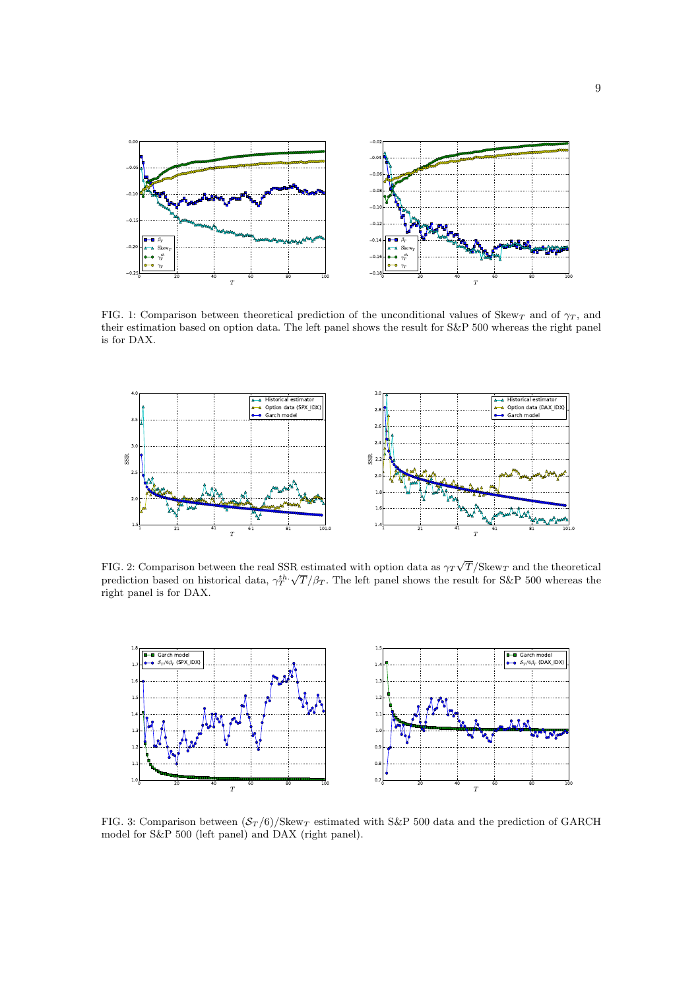

FIG. 1: Comparison between theoretical prediction of the unconditional values of Skew<sub>T</sub> and of  $\gamma_T$ , and their estimation based on option data. The left panel shows the result for S&P 500 whereas the right panel is for DAX.



FIG. 2: Comparison between the real SSR estimated with option data as  $\gamma_T\sqrt{T}/\text{Skew}_T$  and the theoretical prediction based on historical data,  $\gamma_T^{th}$ .  $\sqrt{T}/\beta_T$ . The left panel shows the result for S&P 500 whereas the  $\sqrt{T}/\beta_T$ . right panel is for DAX.



FIG. 3: Comparison between  $(\mathcal{S}_T/6)/\text{Skew}_T$  estimated with S&P 500 data and the prediction of GARCH model for S&P 500 (left panel) and DAX (right panel).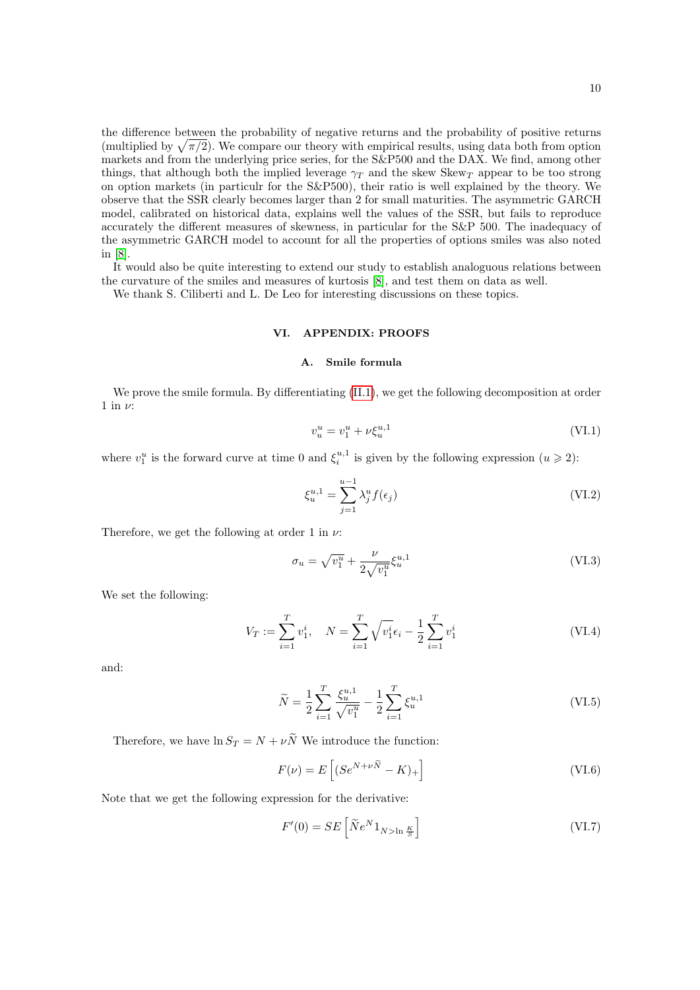the difference between the probability of negative returns and the probability of positive returns (multiplied by  $\sqrt{\pi/2}$ ). We compare our theory with empirical results, using data both from option markets and from the underlying price series, for the S&P500 and the DAX. We find, among other things, that although both the implied leverage  $\gamma_T$  and the skew Skew<sub>T</sub> appear to be too strong on option markets (in particulr for the S&P500), their ratio is well explained by the theory. We observe that the SSR clearly becomes larger than 2 for small maturities. The asymmetric GARCH model, calibrated on historical data, explains well the values of the SSR, but fails to reproduce accurately the different measures of skewness, in particular for the S&P 500. The inadequacy of the asymmetric GARCH model to account for all the properties of options smiles was also noted in [\[8\]](#page-11-8).

It would also be quite interesting to extend our study to establish analoguous relations between the curvature of the smiles and measures of kurtosis [\[8\]](#page-11-8), and test them on data as well.

We thank S. Ciliberti and L. De Leo for interesting discussions on these topics.

## VI. APPENDIX: PROOFS

### A. Smile formula

We prove the smile formula. By differentiating  $(II.1)$ , we get the following decomposition at order 1 in  $\nu$ :

$$
v_u^u = v_1^u + \nu \xi_u^{u,1} \tag{VI.1}
$$

where  $v_1^u$  is the forward curve at time 0 and  $\xi_i^{u,1}$  is given by the following expression  $(u \ge 2)$ :

$$
\xi_u^{u,1} = \sum_{j=1}^{u-1} \lambda_j^u f(\epsilon_j)
$$
 (VI.2)

Therefore, we get the following at order 1 in  $\nu$ :

$$
\sigma_u = \sqrt{v_1^u} + \frac{\nu}{2\sqrt{v_1^u}} \xi_u^{u,1} \tag{VI.3}
$$

We set the following:

$$
V_T := \sum_{i=1}^T v_1^i, \quad N = \sum_{i=1}^T \sqrt{v_1^i} \epsilon_i - \frac{1}{2} \sum_{i=1}^T v_1^i
$$
 (VI.4)

and:

$$
\widetilde{N} = \frac{1}{2} \sum_{i=1}^{T} \frac{\xi_u^{u,1}}{\sqrt{v_1^u}} - \frac{1}{2} \sum_{i=1}^{T} \xi_u^{u,1}
$$
\n(VI.5)

Therefore, we have  $\ln S_T = N + \nu \widetilde{N}$  We introduce the function:

$$
F(\nu) = E\left[ (Se^{N+\nu\widetilde{N}} - K)_+ \right] \tag{VI.6}
$$

Note that we get the following expression for the derivative:

$$
F'(0) = SE\left[\tilde{N}e^{N}1_{N>\ln\frac{K}{S}}\right]
$$
 (VI.7)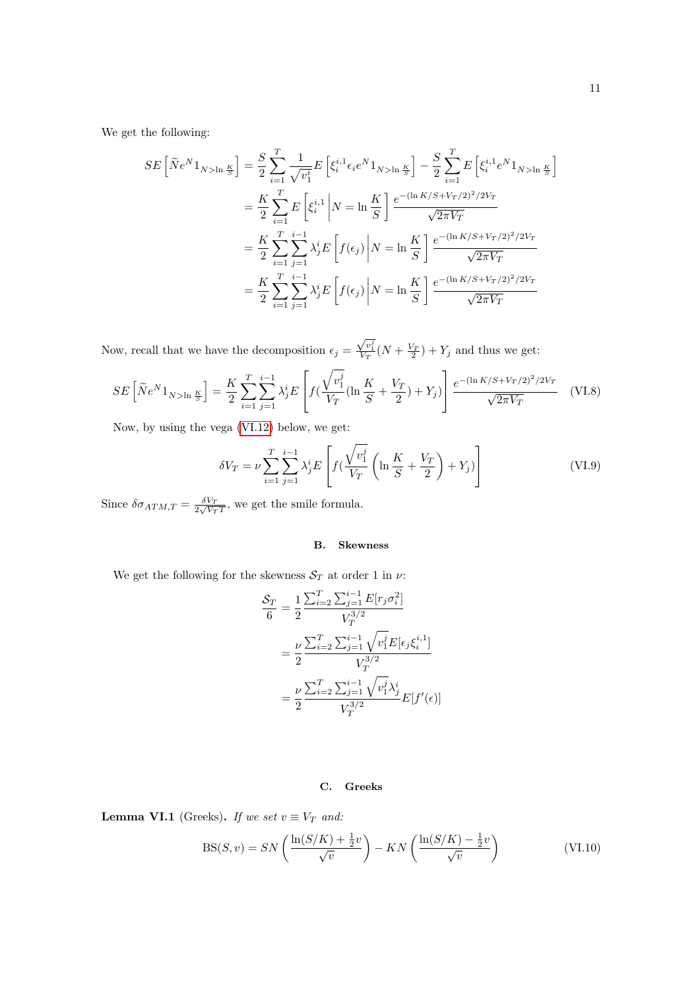We get the following:

$$
SE\left[\tilde{N}e^{N}1_{N>\ln\frac{K}{S}}\right] = \frac{S}{2}\sum_{i=1}^{T}\frac{1}{\sqrt{v_{i}^{i}}}E\left[\xi_{i}^{i,1}\epsilon_{i}e^{N}1_{N>\ln\frac{K}{S}}\right] - \frac{S}{2}\sum_{i=1}^{T}E\left[\xi_{i}^{i,1}e^{N}1_{N>\ln\frac{K}{S}}\right]
$$

$$
= \frac{K}{2}\sum_{i=1}^{T}E\left[\xi_{i}^{i,1}\right|N = \ln\frac{K}{S}\right]\frac{e^{-(\ln K/S + V_{T}/2)^{2}/2V_{T}}}{\sqrt{2\pi V_{T}}}
$$

$$
= \frac{K}{2}\sum_{i=1}^{T}\sum_{j=1}^{i-1}\lambda_{j}^{i}E\left[f(\epsilon_{j})\right|N = \ln\frac{K}{S}\right]\frac{e^{-(\ln K/S + V_{T}/2)^{2}/2V_{T}}}{\sqrt{2\pi V_{T}}}
$$

$$
= \frac{K}{2}\sum_{i=1}^{T}\sum_{j=1}^{i-1}\lambda_{j}^{i}E\left[f(\epsilon_{j})\right|N = \ln\frac{K}{S}\right]\frac{e^{-(\ln K/S + V_{T}/2)^{2}/2V_{T}}}{\sqrt{2\pi V_{T}}}
$$

Now, recall that we have the decomposition  $\epsilon_j =$  $\frac{\sqrt{v_1^j}}{V_T}(N+\frac{V_T}{2})+Y_j$  and thus we get:

$$
SE\left[\tilde{N}e^{N}1_{N>\ln\frac{K}{S}}\right] = \frac{K}{2}\sum_{i=1}^{T}\sum_{j=1}^{i-1}\lambda_{j}^{i}E\left[f\left(\frac{\sqrt{v_{1}^{j}}}{V_{T}}\left(\ln\frac{K}{S} + \frac{V_{T}}{2}\right) + Y_{j}\right)\right]\frac{e^{-(\ln K/S + V_{T}/2)^{2}/2V_{T}}}{\sqrt{2\pi V_{T}}}
$$
(VI.8)

Now, by using the vega [\(VI.12\)](#page-11-16) below, we get:

$$
\delta V_T = \nu \sum_{i=1}^T \sum_{j=1}^{i-1} \lambda_j^i E\left[ f(\frac{\sqrt{v_1^j}}{V_T} \left( \ln \frac{K}{S} + \frac{V_T}{2} \right) + Y_j) \right] \tag{VI.9}
$$

Since  $\delta \sigma_{ATM,T} = \frac{\delta V_T}{2\sqrt{V_T T}}$ , we get the smile formula.

### B. Skewness

We get the following for the skewness  $\mathcal{S}_T$  at order 1 in  $\nu$ :

$$
\frac{\mathcal{S}_T}{6} = \frac{1}{2} \frac{\sum_{i=2}^T \sum_{j=1}^{i-1} E[r_j \sigma_i^2]}{V_T^{3/2}}
$$
\n
$$
= \frac{\nu}{2} \frac{\sum_{i=2}^T \sum_{j=1}^{i-1} \sqrt{v_1^j} E[\epsilon_j \xi_i^{i,1}]}{V_T^{3/2}}
$$
\n
$$
= \frac{\nu}{2} \frac{\sum_{i=2}^T \sum_{j=1}^{i-1} \sqrt{v_1^j} \lambda_j^i}{V_T^{3/2}} E[f'(\epsilon)]
$$

# C. Greeks

**Lemma VI.1** (Greeks). If we set  $v \equiv V_T$  and:

$$
BS(S, v) = SN\left(\frac{\ln(S/K) + \frac{1}{2}v}{\sqrt{v}}\right) - KN\left(\frac{\ln(S/K) - \frac{1}{2}v}{\sqrt{v}}\right)
$$
(VI.10)